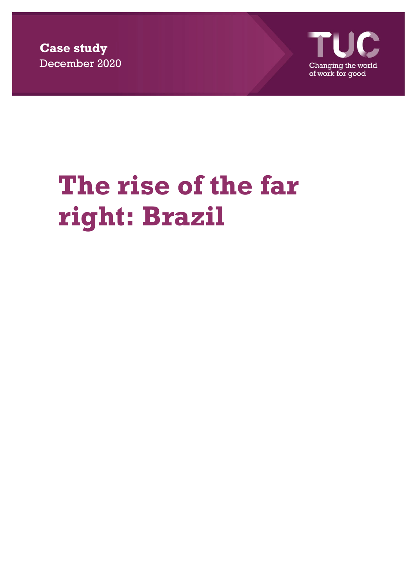**Case study**  December 2020



## **The rise of the far right: Brazil**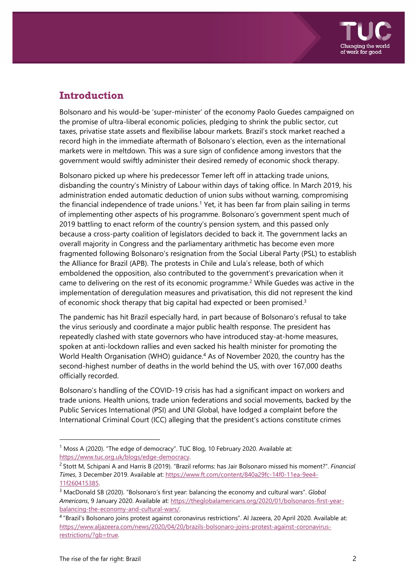

## **Introduction**

Bolsonaro and his would-be 'super-minister' of the economy Paolo Guedes campaigned on the promise of ultra-liberal economic policies, pledging to shrink the public sector, cut taxes, privatise state assets and flexibilise labour markets. Brazil's stock market reached a record high in the immediate aftermath of Bolsonaro's election, even as the international markets were in meltdown. This was a sure sign of confidence among investors that the government would swiftly administer their desired remedy of economic shock therapy.

Bolsonaro picked up where his predecessor Temer left off in attacking trade unions, disbanding the country's Ministry of Labour within days of taking office. In March 2019, his administration ended automatic deduction of union subs without warning, compromising the financial independence of trade unions.<sup>1</sup> Yet, it has been far from plain sailing in terms of implementing other aspects of his programme. Bolsonaro's government spent much of 2019 battling to enact reform of the country's pension system, and this passed only because a cross-party coalition of legislators decided to back it. The government lacks an overall majority in Congress and the parliamentary arithmetic has become even more fragmented following Bolsonaro's resignation from the Social Liberal Party (PSL) to establish the Alliance for Brazil (APB). The protests in Chile and Lula's release, both of which emboldened the opposition, also contributed to the government's prevarication when it came to delivering on the rest of its economic programme.<sup>2</sup> While Guedes was active in the implementation of deregulation measures and privatisation, this did not represent the kind of economic shock therapy that big capital had expected or been promised.<sup>3</sup>

The pandemic has hit Brazil especially hard, in part because of Bolsonaro's refusal to take the virus seriously and coordinate a major public health response. The president has repeatedly clashed with state governors who have introduced stay-at-home measures, spoken at anti-lockdown rallies and even sacked his health minister for promoting the World Health Organisation (WHO) guidance.<sup>4</sup> As of November 2020, the country has the second-highest number of deaths in the world behind the US, with over 167,000 deaths officially recorded.

Bolsonaro's handling of the COVID-19 crisis has had a significant impact on workers and trade unions. Health unions, trade union federations and social movements, backed by the Public Services International (PSI) and UNI Global, have lodged a complaint before the International Criminal Court (ICC) alleging that the president's actions constitute crimes

<sup>&</sup>lt;sup>1</sup> Moss A (2020). "The edge of democracy". TUC Blog, 10 February 2020. Available at: https://www.tuc.org.uk/blogs/edge-democracy.

<sup>2</sup> Stott M, Schipani A and Harris B (2019). "Brazil reforms: has Jair Bolsonaro missed his moment?". *Financial Times*, 3 December 2019. Available at: https://www.ft.com/content/840a29fc-14f0-11ea-9ee4- 11f260415385.

<sup>3</sup> MacDonald SB (2020). "Bolsonaro's first year: balancing the economy and cultural wars". *Global Americans*, 9 January 2020. Available at: https://theglobalamericans.org/2020/01/bolsonaros-first-yearbalancing-the-economy-and-cultural-wars/.

<sup>4 &</sup>quot;Brazil's Bolsonaro joins protest against coronavirus restrictions". Al Jazeera, 20 April 2020. Available at: https://www.aljazeera.com/news/2020/04/20/brazils-bolsonaro-joins-protest-against-coronavirusrestrictions/?gb=true.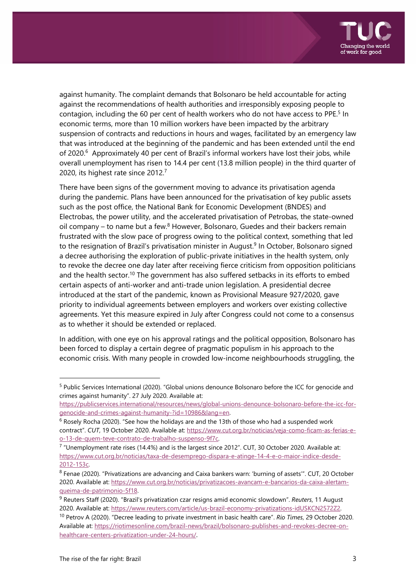

against humanity. The complaint demands that Bolsonaro be held accountable for acting against the recommendations of health authorities and irresponsibly exposing people to contagion, including the 60 per cent of health workers who do not have access to PPE.<sup>5</sup> In economic terms, more than 10 million workers have been impacted by the arbitrary suspension of contracts and reductions in hours and wages, facilitated by an emergency law that was introduced at the beginning of the pandemic and has been extended until the end of 2020.<sup>6</sup> Approximately 40 per cent of Brazil's informal workers have lost their jobs, while overall unemployment has risen to 14.4 per cent (13.8 million people) in the third quarter of 2020, its highest rate since 2012.7

There have been signs of the government moving to advance its privatisation agenda during the pandemic. Plans have been announced for the privatisation of key public assets such as the post office, the National Bank for Economic Development (BNDES) and Electrobas, the power utility, and the accelerated privatisation of Petrobas, the state-owned oil company – to name but a few. $8$  However, Bolsonaro, Guedes and their backers remain frustrated with the slow pace of progress owing to the political context, something that led to the resignation of Brazil's privatisation minister in August.<sup>9</sup> In October, Bolsonaro signed a decree authorising the exploration of public-private initiatives in the health system, only to revoke the decree one day later after receiving fierce criticism from opposition politicians and the health sector.10 The government has also suffered setbacks in its efforts to embed certain aspects of anti-worker and anti-trade union legislation. A presidential decree introduced at the start of the pandemic, known as Provisional Measure 927/2020, gave priority to individual agreements between employers and workers over existing collective agreements. Yet this measure expired in July after Congress could not come to a consensus as to whether it should be extended or replaced.

In addition, with one eye on his approval ratings and the political opposition, Bolsonaro has been forced to display a certain degree of pragmatic populism in his approach to the economic crisis. With many people in crowded low-income neighbourhoods struggling, the

<sup>5</sup> Public Services International (2020). "Global unions denounce Bolsonaro before the ICC for genocide and crimes against humanity". 27 July 2020. Available at:

https://publicservices.international/resources/news/global-unions-denounce-bolsonaro-before-the-icc-forgenocide-and-crimes-against-humanity-?id=10986&lang=en.

 $<sup>6</sup>$  Rosely Rocha (2020). "See how the holidays are and the 13th of those who had a suspended work</sup> contract". *CUT*, 19 October 2020. Available at: https://www.cut.org.br/noticias/veja-como-ficam-as-ferias-eo-13-de-quem-teve-contrato-de-trabalho-suspenso-9f7c.

 $7$  "Unemployment rate rises (14.4%) and is the largest since 2012". CUT, 30 October 2020. Available at: https://www.cut.org.br/noticias/taxa-de-desemprego-dispara-e-atinge-14-4-e-o-maior-indice-desde-2012-153c.

<sup>&</sup>lt;sup>8</sup> Fenae (2020). "Privatizations are advancing and Caixa bankers warn: 'burning of assets'". CUT, 20 October 2020. Available at: https://www.cut.org.br/noticias/privatizacoes-avancam-e-bancarios-da-caixa-alertamqueima-de-patrimonio-5f18.

<sup>9</sup> Reuters Staff (2020). "Brazil's privatization czar resigns amid economic slowdown". *Reuters*, 11 August 2020. Available at: https://www.reuters.com/article/us-brazil-economy-privatizations-idUSKCN2572Z2. 10 Petrov A (2020). "Decree leading to private investment in basic health care". *Rio Times*, 29 October 2020. Available at: https://riotimesonline.com/brazil-news/brazil/bolsonaro-publishes-and-revokes-decree-onhealthcare-centers-privatization-under-24-hours/.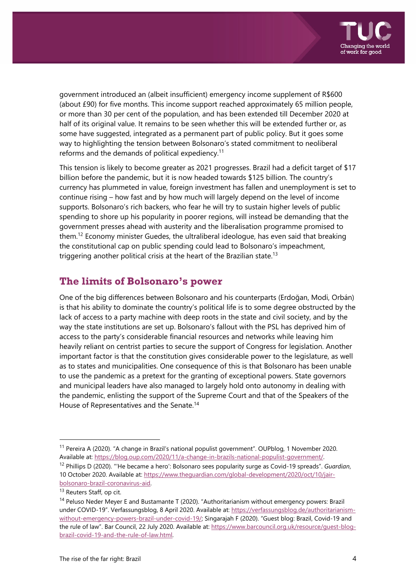

government introduced an (albeit insufficient) emergency income supplement of R\$600 (about £90) for five months. This income support reached approximately 65 million people, or more than 30 per cent of the population, and has been extended till December 2020 at half of its original value. It remains to be seen whether this will be extended further or, as some have suggested, integrated as a permanent part of public policy. But it goes some way to highlighting the tension between Bolsonaro's stated commitment to neoliberal reforms and the demands of political expediency.<sup>11</sup>

This tension is likely to become greater as 2021 progresses. Brazil had a deficit target of \$17 billion before the pandemic, but it is now headed towards \$125 billion. The country's currency has plummeted in value, foreign investment has fallen and unemployment is set to continue rising – how fast and by how much will largely depend on the level of income supports. Bolsonaro's rich backers, who fear he will try to sustain higher levels of public spending to shore up his popularity in poorer regions, will instead be demanding that the government presses ahead with austerity and the liberalisation programme promised to them.12 Economy minister Guedes, the ultraliberal ideologue, has even said that breaking the constitutional cap on public spending could lead to Bolsonaro's impeachment, triggering another political crisis at the heart of the Brazilian state.<sup>13</sup>

## **The limits of Bolsonaro's power**

One of the big differences between Bolsonaro and his counterparts (Erdoğan, Modi, Orbán) is that his ability to dominate the country's political life is to some degree obstructed by the lack of access to a party machine with deep roots in the state and civil society, and by the way the state institutions are set up. Bolsonaro's fallout with the PSL has deprived him of access to the party's considerable financial resources and networks while leaving him heavily reliant on centrist parties to secure the support of Congress for legislation. Another important factor is that the constitution gives considerable power to the legislature, as well as to states and municipalities. One consequence of this is that Bolsonaro has been unable to use the pandemic as a pretext for the granting of exceptional powers. State governors and municipal leaders have also managed to largely hold onto autonomy in dealing with the pandemic, enlisting the support of the Supreme Court and that of the Speakers of the House of Representatives and the Senate.<sup>14</sup>

<sup>11</sup> Pereira A (2020). "A change in Brazil's national populist government". OUPblog, 1 November 2020. Available at: https://blog.oup.com/2020/11/a-change-in-brazils-national-populist-government/.

<sup>12</sup> Phillips D (2020). "'He became a hero': Bolsonaro sees popularity surge as Covid-19 spreads". *Guardian*, 10 October 2020. Available at: https://www.theguardian.com/global-development/2020/oct/10/jairbolsonaro-brazil-coronavirus-aid.

<sup>&</sup>lt;sup>13</sup> Reuters Staff, op cit.

<sup>&</sup>lt;sup>14</sup> Peluso Neder Meyer E and Bustamante T (2020). "Authoritarianism without emergency powers: Brazil under COVID-19". Verfassungsblog, 8 April 2020. Available at: https://verfassungsblog.de/authoritarianismwithout-emergency-powers-brazil-under-covid-19/; Singarajah F (2020). "Guest blog: Brazil, Covid-19 and the rule of law". Bar Council, 22 July 2020. Available at: https://www.barcouncil.org.uk/resource/guest-blogbrazil-covid-19-and-the-rule-of-law.html.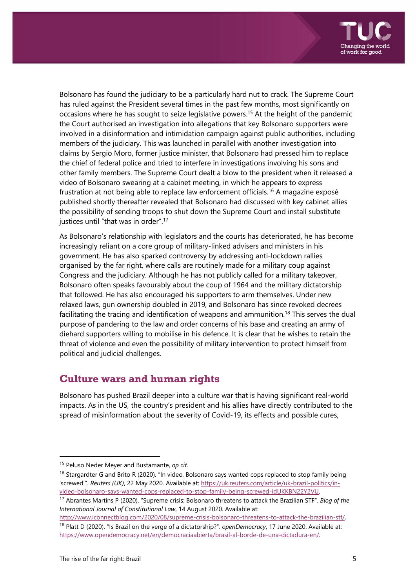

Bolsonaro has found the judiciary to be a particularly hard nut to crack. The Supreme Court has ruled against the President several times in the past few months, most significantly on occasions where he has sought to seize legislative powers.15 At the height of the pandemic the Court authorised an investigation into allegations that key Bolsonaro supporters were involved in a disinformation and intimidation campaign against public authorities, including members of the judiciary. This was launched in parallel with another investigation into claims by Sergio Moro, former justice minister, that Bolsonaro had pressed him to replace the chief of federal police and tried to interfere in investigations involving his sons and other family members. The Supreme Court dealt a blow to the president when it released a video of Bolsonaro swearing at a cabinet meeting, in which he appears to express frustration at not being able to replace law enforcement officials.16 A magazine exposé published shortly thereafter revealed that Bolsonaro had discussed with key cabinet allies the possibility of sending troops to shut down the Supreme Court and install substitute justices until "that was in order".17

As Bolsonaro's relationship with legislators and the courts has deteriorated, he has become increasingly reliant on a core group of military-linked advisers and ministers in his government. He has also sparked controversy by addressing anti-lockdown rallies organised by the far right, where calls are routinely made for a military coup against Congress and the judiciary. Although he has not publicly called for a military takeover, Bolsonaro often speaks favourably about the coup of 1964 and the military dictatorship that followed. He has also encouraged his supporters to arm themselves. Under new relaxed laws, gun ownership doubled in 2019, and Bolsonaro has since revoked decrees facilitating the tracing and identification of weapons and ammunition.<sup>18</sup> This serves the dual purpose of pandering to the law and order concerns of his base and creating an army of diehard supporters willing to mobilise in his defence. It is clear that he wishes to retain the threat of violence and even the possibility of military intervention to protect himself from political and judicial challenges.

## **Culture wars and human rights**

Bolsonaro has pushed Brazil deeper into a culture war that is having significant real-world impacts. As in the US, the country's president and his allies have directly contributed to the spread of misinformation about the severity of Covid-19, its effects and possible cures,

http://www.iconnectblog.com/2020/08/supreme-crisis-bolsonaro-threatens-to-attack-the-brazilian-stf/. 18 Platt D (2020). "Is Brazil on the verge of a dictatorship?". *openDemocracy*, 17 June 2020. Available at: https://www.opendemocracy.net/en/democraciaabierta/brasil-al-borde-de-una-dictadura-en/.

<sup>15</sup> Peluso Neder Meyer and Bustamante, *op cit*.

<sup>&</sup>lt;sup>16</sup> Stargardter G and Brito R (2020). "In video, Bolsonaro says wanted cops replaced to stop family being 'screwed'". *Reuters (UK)*, 22 May 2020. Available at: https://uk.reuters.com/article/uk-brazil-politics/invideo-bolsonaro-says-wanted-cops-replaced-to-stop-family-being-screwed-idUKKBN22Y2VU.

<sup>17</sup> Abrantes Martins P (2020). "Supreme crisis: Bolsonaro threatens to attack the Brazilian STF". *Blog of the International Journal of Constitutional Law*, 14 August 2020. Available at: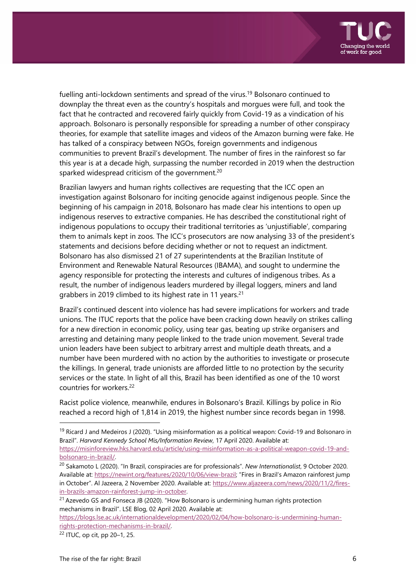

fuelling anti-lockdown sentiments and spread of the virus.<sup>19</sup> Bolsonaro continued to downplay the threat even as the country's hospitals and morgues were full, and took the fact that he contracted and recovered fairly quickly from Covid-19 as a vindication of his approach. Bolsonaro is personally responsible for spreading a number of other conspiracy theories, for example that satellite images and videos of the Amazon burning were fake. He has talked of a conspiracy between NGOs, foreign governments and indigenous communities to prevent Brazil's development. The number of fires in the rainforest so far this year is at a decade high, surpassing the number recorded in 2019 when the destruction sparked widespread criticism of the government.<sup>20</sup>

Brazilian lawyers and human rights collectives are requesting that the ICC open an investigation against Bolsonaro for inciting genocide against indigenous people. Since the beginning of his campaign in 2018, Bolsonaro has made clear his intentions to open up indigenous reserves to extractive companies. He has described the constitutional right of indigenous populations to occupy their traditional territories as 'unjustifiable', comparing them to animals kept in zoos. The ICC's prosecutors are now analysing 33 of the president's statements and decisions before deciding whether or not to request an indictment. Bolsonaro has also dismissed 21 of 27 superintendents at the Brazilian Institute of Environment and Renewable Natural Resources (IBAMA), and sought to undermine the agency responsible for protecting the interests and cultures of indigenous tribes. As a result, the number of indigenous leaders murdered by illegal loggers, miners and land grabbers in 2019 climbed to its highest rate in 11 years.<sup>21</sup>

Brazil's continued descent into violence has had severe implications for workers and trade unions. The ITUC reports that the police have been cracking down heavily on strikes calling for a new direction in economic policy, using tear gas, beating up strike organisers and arresting and detaining many people linked to the trade union movement. Several trade union leaders have been subject to arbitrary arrest and multiple death threats, and a number have been murdered with no action by the authorities to investigate or prosecute the killings. In general, trade unionists are afforded little to no protection by the security services or the state. In light of all this, Brazil has been identified as one of the 10 worst countries for workers.22

Racist police violence, meanwhile, endures in Bolsonaro's Brazil. Killings by police in Rio reached a record high of 1,814 in 2019, the highest number since records began in 1998.

<sup>&</sup>lt;sup>19</sup> Ricard J and Medeiros J (2020). "Using misinformation as a political weapon: Covid-19 and Bolsonaro in Brazil". *Harvard Kennedy School Mis/Information Review*, 17 April 2020. Available at: https://misinforeview.hks.harvard.edu/article/using-misinformation-as-a-political-weapon-covid-19-and-

bolsonaro-in-brazil/. 20 Sakamoto L (2020). "In Brazil, conspiracies are for professionals". *New Internationalist*, 9 October 2020.

Available at: https://newint.org/features/2020/10/06/view-brazil; "Fires in Brazil's Amazon rainforest jump in October". Al Jazeera, 2 November 2020. Available at: https://www.aljazeera.com/news/2020/11/2/firesin-brazils-amazon-rainforest-jump-in-october.

 $21$  Azevedo GS and Fonseca JB (2020). "How Bolsonaro is undermining human rights protection mechanisms in Brazil". LSE Blog, 02 April 2020. Available at:

https://blogs.lse.ac.uk/internationaldevelopment/2020/02/04/how-bolsonaro-is-undermining-humanrights-protection-mechanisms-in-brazil/.

<sup>22</sup> ITUC, op cit, pp 20–1, 25.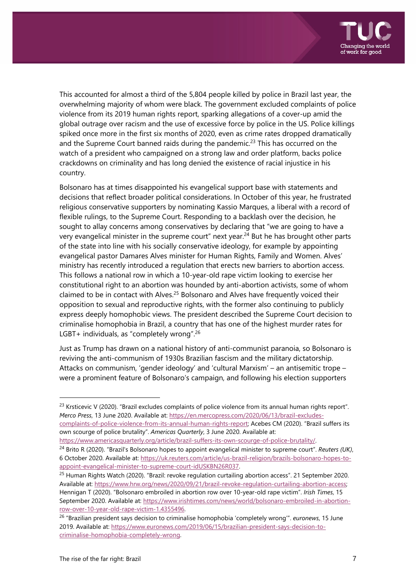

This accounted for almost a third of the 5,804 people killed by police in Brazil last year, the overwhelming majority of whom were black. The government excluded complaints of police violence from its 2019 human rights report, sparking allegations of a cover-up amid the global outrage over racism and the use of excessive force by police in the US. Police killings spiked once more in the first six months of 2020, even as crime rates dropped dramatically and the Supreme Court banned raids during the pandemic.<sup>23</sup> This has occurred on the watch of a president who campaigned on a strong law and order platform, backs police crackdowns on criminality and has long denied the existence of racial injustice in his country.

Bolsonaro has at times disappointed his evangelical support base with statements and decisions that reflect broader political considerations. In October of this year, he frustrated religious conservative supporters by nominating Kassio Marques, a liberal with a record of flexible rulings, to the Supreme Court. Responding to a backlash over the decision, he sought to allay concerns among conservatives by declaring that "we are going to have a very evangelical minister in the supreme court" next year.<sup>24</sup> But he has brought other parts of the state into line with his socially conservative ideology, for example by appointing evangelical pastor Damares Alves minister for Human Rights, Family and Women. Alves' ministry has recently introduced a regulation that erects new barriers to abortion access. This follows a national row in which a 10-year-old rape victim looking to exercise her constitutional right to an abortion was hounded by anti-abortion activists, some of whom claimed to be in contact with Alves.25 Bolsonaro and Alves have frequently voiced their opposition to sexual and reproductive rights, with the former also continuing to publicly express deeply homophobic views. The president described the Supreme Court decision to criminalise homophobia in Brazil, a country that has one of the highest murder rates for LGBT+ individuals, as "completely wrong".26

Just as Trump has drawn on a national history of anti-communist paranoia, so Bolsonaro is reviving the anti-communism of 1930s Brazilian fascism and the military dictatorship. Attacks on communism, 'gender ideology' and 'cultural Marxism' – an antisemitic trope – were a prominent feature of Bolsonaro's campaign, and following his election supporters

 $23$  Krsticevic V (2020). "Brazil excludes complaints of police violence from its annual human rights report". *Merco Press*, 13 June 2020. Available at: https://en.mercopress.com/2020/06/13/brazil-excludescomplaints-of-police-violence-from-its-annual-human-rights-report; Acebes CM (2020). "Brazil suffers its own scourge of police brutality". *Americas Quarterly*, 3 June 2020. Available at:

https://www.americasquarterly.org/article/brazil-suffers-its-own-scourge-of-police-brutality/.

<sup>24</sup> Brito R (2020). "Brazil's Bolsonaro hopes to appoint evangelical minister to supreme court". *Reuters (UK)*, 6 October 2020. Available at: https://uk.reuters.com/article/us-brazil-religion/brazils-bolsonaro-hopes-toappoint-evangelical-minister-to-supreme-court-idUSKBN26R037.

<sup>&</sup>lt;sup>25</sup> Human Rights Watch (2020). "Brazil: revoke regulation curtailing abortion access". 21 September 2020. Available at: https://www.hrw.org/news/2020/09/21/brazil-revoke-regulation-curtailing-abortion-access; Hennigan T (2020). "Bolsonaro embroiled in abortion row over 10-year-old rape victim". *Irish Times*, 15 September 2020. Available at: https://www.irishtimes.com/news/world/bolsonaro-embroiled-in-abortionrow-over-10-year-old-rape-victim-1.4355496.

<sup>26 &</sup>quot;Brazilian president says decision to criminalise homophobia 'completely wrong'". *euronews*, 15 June 2019. Available at: https://www.euronews.com/2019/06/15/brazilian-president-says-decision-tocriminalise-homophobia-completely-wrong.